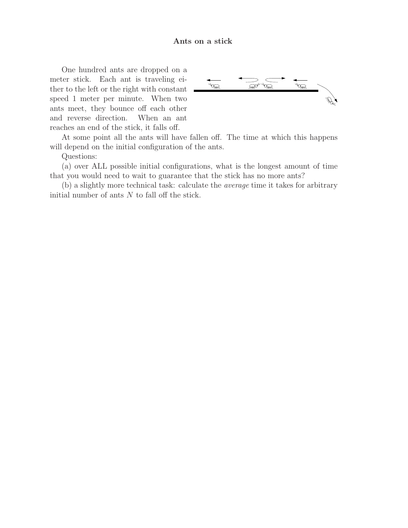## Ants on a stick

One hundred ants are dropped on a meter stick. Each ant is traveling either to the left or the right with constant speed 1 meter per minute. When two ants meet, they bounce off each other and reverse direction. When an ant reaches an end of the stick, it falls off.



At some point all the ants will have fallen off. The time at which this happens will depend on the initial configuration of the ants.

Questions:

(a) over ALL possible initial configurations, what is the longest amount of time that you would need to wait to guarantee that the stick has no more ants?

(b) a slightly more technical task: calculate the average time it takes for arbitrary initial number of ants  $N$  to fall off the stick.